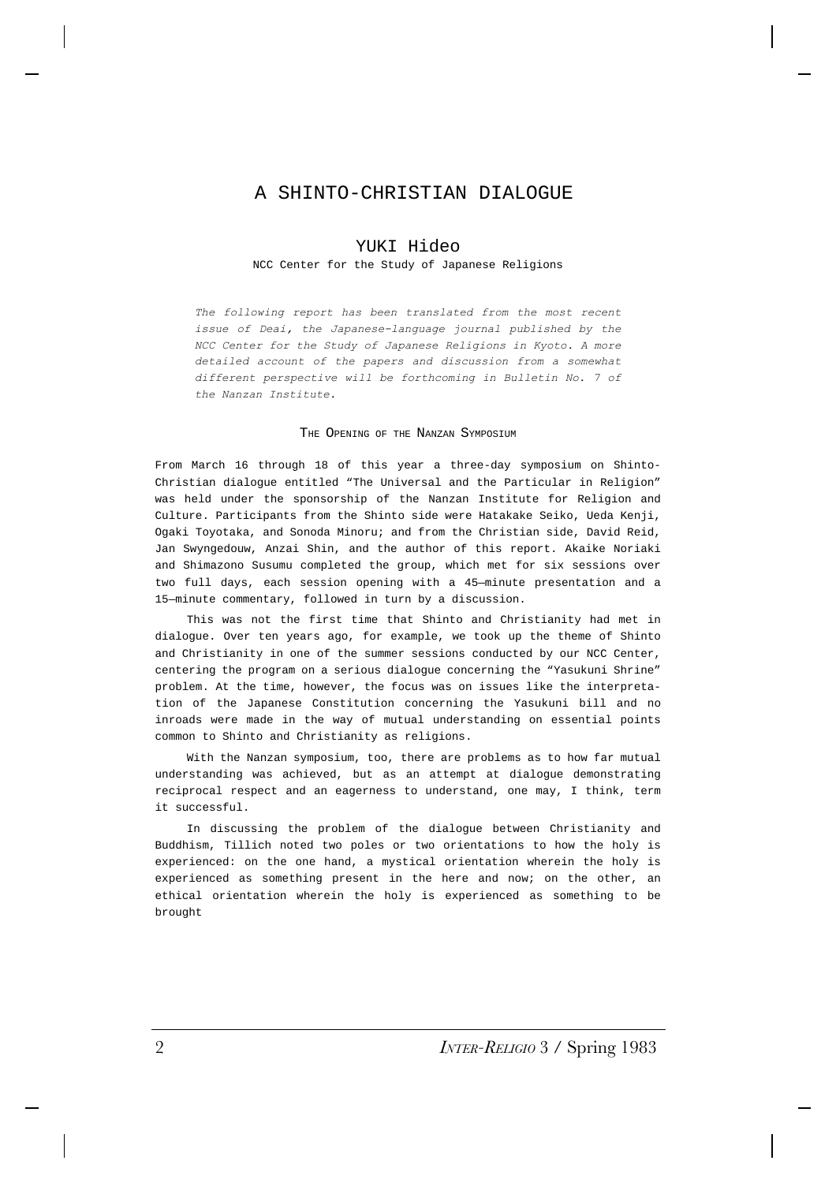# A SHINTO-CHRISTIAN DIALOGUE

## YUKI Hideo

### NCC Center for the Study of Japanese Religions

*The following report has been translated from the most recent issue of Deai, the Japanese-language journal published by the NCC Center for the Study of Japanese Religions in Kyoto. A more detailed account of the papers and discussion from a somewhat different perspective will be forthcoming in Bulletin No. 7 of the Nanzan Institute.*

#### THE OPENING OF THE NANZAN SYMPOSIUM

From March 16 through 18 of this year a three-day symposium on Shinto-Christian dialogue entitled "The Universal and the Particular in Religion" was held under the sponsorship of the Nanzan Institute for Religion and Culture. Participants from the Shinto side were Hatakake Seiko, Ueda Kenji, Ogaki Toyotaka, and Sonoda Minoru; and from the Christian side, David Reid, Jan Swyngedouw, Anzai Shin, and the author of this report. Akaike Noriaki and Shimazono Susumu completed the group, which met for six sessions over two full days, each session opening with a 45—minute presentation and a 15—minute commentary, followed in turn by a discussion.

This was not the first time that Shinto and Christianity had met in dialogue. Over ten years ago, for example, we took up the theme of Shinto and Christianity in one of the summer sessions conducted by our NCC Center, centering the program on a serious dialogue concerning the "Yasukuni Shrine" problem. At the time, however, the focus was on issues like the interpretation of the Japanese Constitution concerning the Yasukuni bill and no inroads were made in the way of mutual understanding on essential points common to Shinto and Christianity as religions.

With the Nanzan symposium, too, there are problems as to how far mutual understanding was achieved, but as an attempt at dialogue demonstrating reciprocal respect and an eagerness to understand, one may, I think, term it successful.

In discussing the problem of the dialogue between Christianity and Buddhism, Tillich noted two poles or two orientations to how the holy is experienced: on the one hand, a mystical orientation wherein the holy is experienced as something present in the here and now; on the other, an ethical orientation wherein the holy is experienced as something to be brought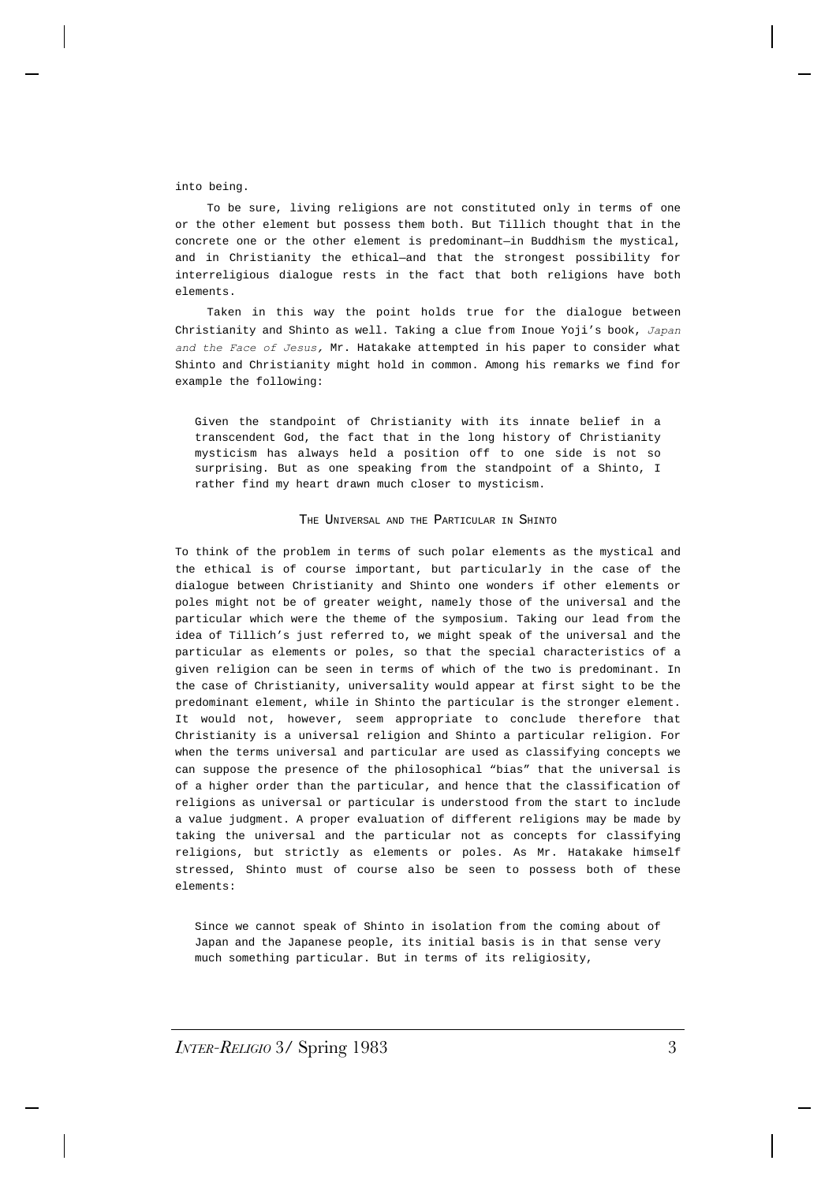into being.

To be sure, living religions are not constituted only in terms of one or the other element but possess them both. But Tillich thought that in the concrete one or the other element is predominant—in Buddhism the mystical, and in Christianity the ethical—and that the strongest possibility for interreligious dialogue rests in the fact that both religions have both elements.

Taken in this way the point holds true for the dialogue between Christianity and Shinto as well. Taking a clue from Inoue Yoji's book, *Japan and the Face of Jesus,* Mr. Hatakake attempted in his paper to consider what Shinto and Christianity might hold in common. Among his remarks we find for example the following:

Given the standpoint of Christianity with its innate belief in a transcendent God, the fact that in the long history of Christianity mysticism has always held a position off to one side is not so surprising. But as one speaking from the standpoint of a Shinto, I rather find my heart drawn much closer to mysticism.

#### THE UNIVERSAL AND THE PARTICULAR IN SHINTO

To think of the problem in terms of such polar elements as the mystical and the ethical is of course important, but particularly in the case of the dialogue between Christianity and Shinto one wonders if other elements or poles might not be of greater weight, namely those of the universal and the particular which were the theme of the symposium. Taking our lead from the idea of Tillich's just referred to, we might speak of the universal and the particular as elements or poles, so that the special characteristics of a given religion can be seen in terms of which of the two is predominant. In the case of Christianity, universality would appear at first sight to be the predominant element, while in Shinto the particular is the stronger element. It would not, however, seem appropriate to conclude therefore that Christianity is a universal religion and Shinto a particular religion. For when the terms universal and particular are used as classifying concepts we can suppose the presence of the philosophical "bias" that the universal is of a higher order than the particular, and hence that the classification of religions as universal or particular is understood from the start to include a value judgment. A proper evaluation of different religions may be made by taking the universal and the particular not as concepts for classifying religions, but strictly as elements or poles. As Mr. Hatakake himself stressed, Shinto must of course also be seen to possess both of these elements:

Since we cannot speak of Shinto in isolation from the coming about of Japan and the Japanese people, its initial basis is in that sense very much something particular. But in terms of its religiosity,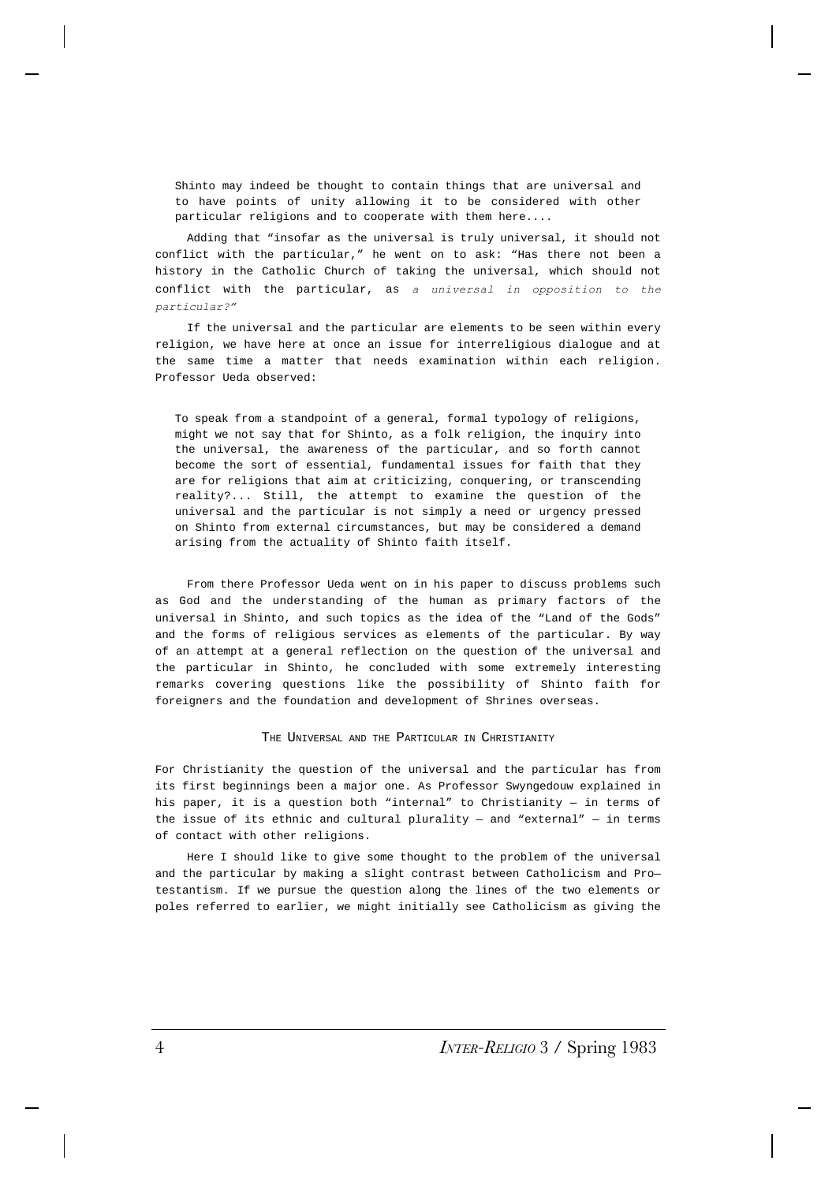Shinto may indeed be thought to contain things that are universal and to have points of unity allowing it to be considered with other particular religions and to cooperate with them here....

Adding that "insofar as the universal is truly universal, it should not conflict with the particular," he went on to ask: "Has there not been a history in the Catholic Church of taking the universal, which should not conflict with the particular, as *a universal in opposition to the particular?"*

If the universal and the particular are elements to be seen within every religion, we have here at once an issue for interreligious dialogue and at the same time a matter that needs examination within each religion. Professor Ueda observed:

To speak from a standpoint of a general, formal typology of religions, might we not say that for Shinto, as a folk religion, the inquiry into the universal, the awareness of the particular, and so forth cannot become the sort of essential, fundamental issues for faith that they are for religions that aim at criticizing, conquering, or transcending reality?... Still, the attempt to examine the question of the universal and the particular is not simply a need or urgency pressed on Shinto from external circumstances, but may be considered a demand arising from the actuality of Shinto faith itself.

From there Professor Ueda went on in his paper to discuss problems such as God and the understanding of the human as primary factors of the universal in Shinto, and such topics as the idea of the "Land of the Gods" and the forms of religious services as elements of the particular. By way of an attempt at a general reflection on the question of the universal and the particular in Shinto, he concluded with some extremely interesting remarks covering questions like the possibility of Shinto faith for foreigners and the foundation and development of Shrines overseas.

#### THE UNIVERSAL AND THE PARTICULAR IN CHRISTIANITY

For Christianity the question of the universal and the particular has from its first beginnings been a major one. As Professor Swyngedouw explained in his paper, it is a question both "internal" to Christianity — in terms of the issue of its ethnic and cultural plurality  $-$  and "external"  $-$  in terms of contact with other religions.

Here I should like to give some thought to the problem of the universal and the particular by making a slight contrast between Catholicism and Pro testantism. If we pursue the question along the lines of the two elements or poles referred to earlier, we might initially see Catholicism as giving the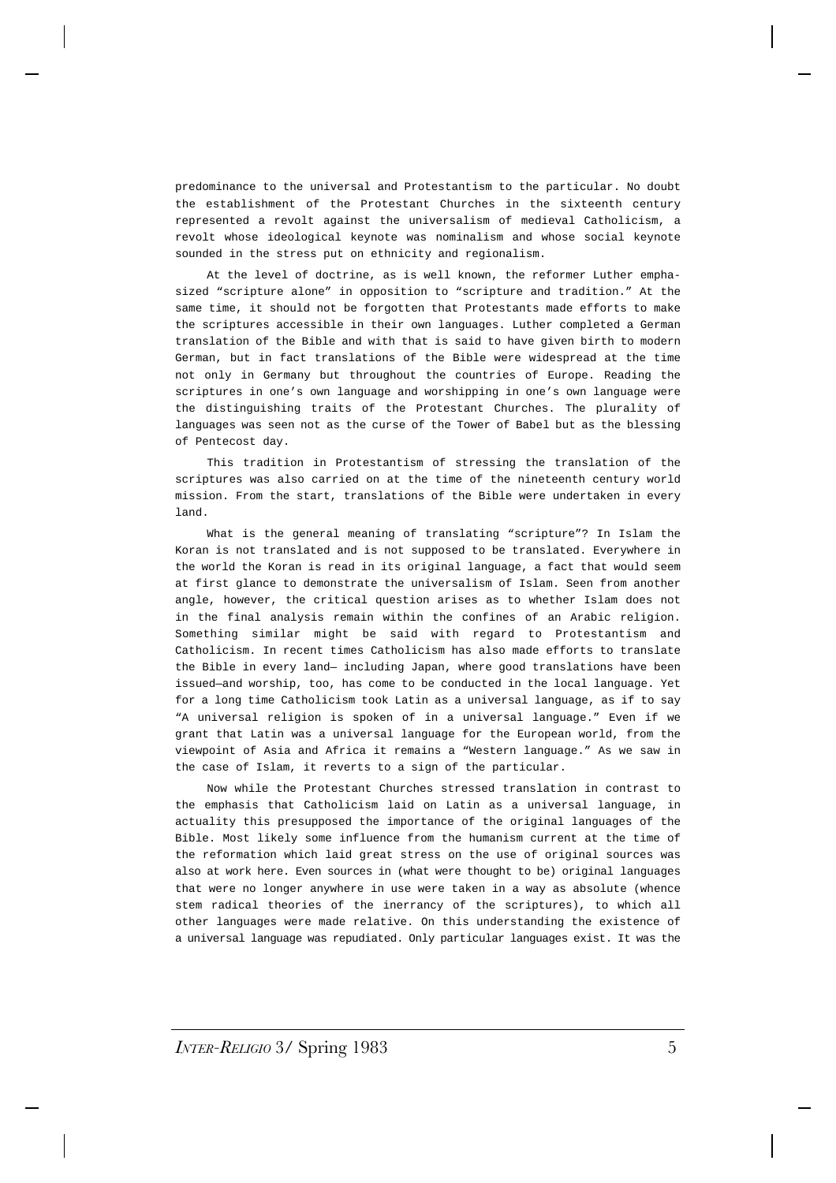predominance to the universal and Protestantism to the particular. No doubt the establishment of the Protestant Churches in the sixteenth century represented a revolt against the universalism of medieval Catholicism, a revolt whose ideological keynote was nominalism and whose social keynote sounded in the stress put on ethnicity and regionalism.

At the level of doctrine, as is well known, the reformer Luther emphasized "scripture alone" in opposition to "scripture and tradition." At the same time, it should not be forgotten that Protestants made efforts to make the scriptures accessible in their own languages. Luther completed a German translation of the Bible and with that is said to have given birth to modern German, but in fact translations of the Bible were widespread at the time not only in Germany but throughout the countries of Europe. Reading the scriptures in one's own language and worshipping in one's own language were the distinguishing traits of the Protestant Churches. The plurality of languages was seen not as the curse of the Tower of Babel but as the blessing of Pentecost day.

This tradition in Protestantism of stressing the translation of the scriptures was also carried on at the time of the nineteenth century world mission. From the start, translations of the Bible were undertaken in every land.

What is the general meaning of translating "scripture"? In Islam the Koran is not translated and is not supposed to be translated. Everywhere in the world the Koran is read in its original language, a fact that would seem at first glance to demonstrate the universalism of Islam. Seen from another angle, however, the critical question arises as to whether Islam does not in the final analysis remain within the confines of an Arabic religion. Something similar might be said with regard to Protestantism and Catholicism. In recent times Catholicism has also made efforts to translate the Bible in every land— including Japan, where good translations have been issued—and worship, too, has come to be conducted in the local language. Yet for a long time Catholicism took Latin as a universal language, as if to say "A universal religion is spoken of in a universal language." Even if we grant that Latin was a universal language for the European world, from the viewpoint of Asia and Africa it remains a "Western language." As we saw in the case of Islam, it reverts to a sign of the particular.

Now while the Protestant Churches stressed translation in contrast to the emphasis that Catholicism laid on Latin as a universal language, in actuality this presupposed the importance of the original languages of the Bible. Most likely some influence from the humanism current at the time of the reformation which laid great stress on the use of original sources was also at work here. Even sources in (what were thought to be) original languages that were no longer anywhere in use were taken in a way as absolute (whence stem radical theories of the inerrancy of the scriptures), to which all other languages were made relative. On this understanding the existence of a universal language was repudiated. Only particular languages exist. It was the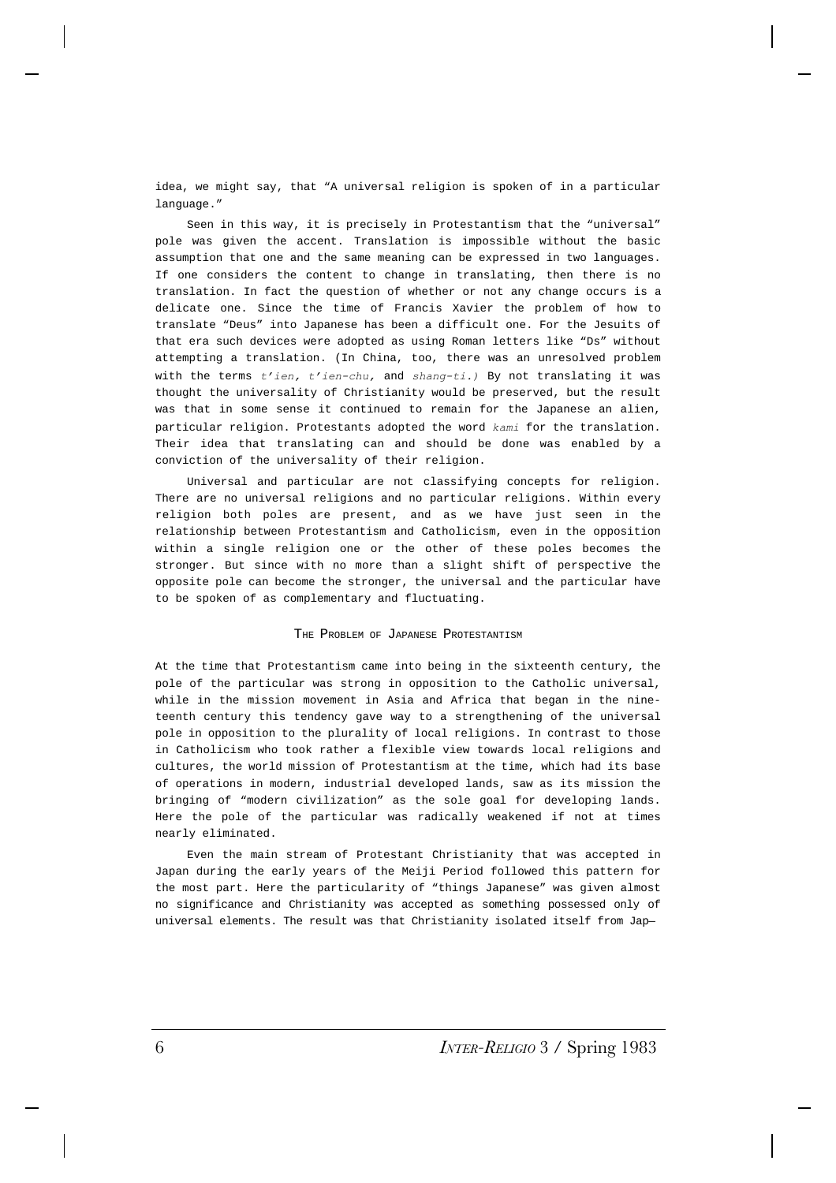idea, we might say, that "A universal religion is spoken of in a particular language."

Seen in this way, it is precisely in Protestantism that the "universal" pole was given the accent. Translation is impossible without the basic assumption that one and the same meaning can be expressed in two languages. If one considers the content to change in translating, then there is no translation. In fact the question of whether or not any change occurs is a delicate one. Since the time of Francis Xavier the problem of how to translate "Deus" into Japanese has been a difficult one. For the Jesuits of that era such devices were adopted as using Roman letters like "Ds" without attempting a translation. (In China, too, there was an unresolved problem with the terms *t'ien, t'ien-chu,* and *shang-ti.)* By not translating it was thought the universality of Christianity would be preserved, but the result was that in some sense it continued to remain for the Japanese an alien, particular religion. Protestants adopted the word *kami* for the translation. Their idea that translating can and should be done was enabled by a conviction of the universality of their religion.

Universal and particular are not classifying concepts for religion. There are no universal religions and no particular religions. Within every religion both poles are present, and as we have just seen in the relationship between Protestantism and Catholicism, even in the opposition within a single religion one or the other of these poles becomes the stronger. But since with no more than a slight shift of perspective the opposite pole can become the stronger, the universal and the particular have to be spoken of as complementary and fluctuating.

#### THE PROBLEM OF JAPANESE PROTESTANTISM

At the time that Protestantism came into being in the sixteenth century, the pole of the particular was strong in opposition to the Catholic universal, while in the mission movement in Asia and Africa that began in the nineteenth century this tendency gave way to a strengthening of the universal pole in opposition to the plurality of local religions. In contrast to those in Catholicism who took rather a flexible view towards local religions and cultures, the world mission of Protestantism at the time, which had its base of operations in modern, industrial developed lands, saw as its mission the bringing of "modern civilization" as the sole goal for developing lands. Here the pole of the particular was radically weakened if not at times nearly eliminated.

Even the main stream of Protestant Christianity that was accepted in Japan during the early years of the Meiji Period followed this pattern for the most part. Here the particularity of "things Japanese" was given almost no significance and Christianity was accepted as something possessed only of universal elements. The result was that Christianity isolated itself from Jap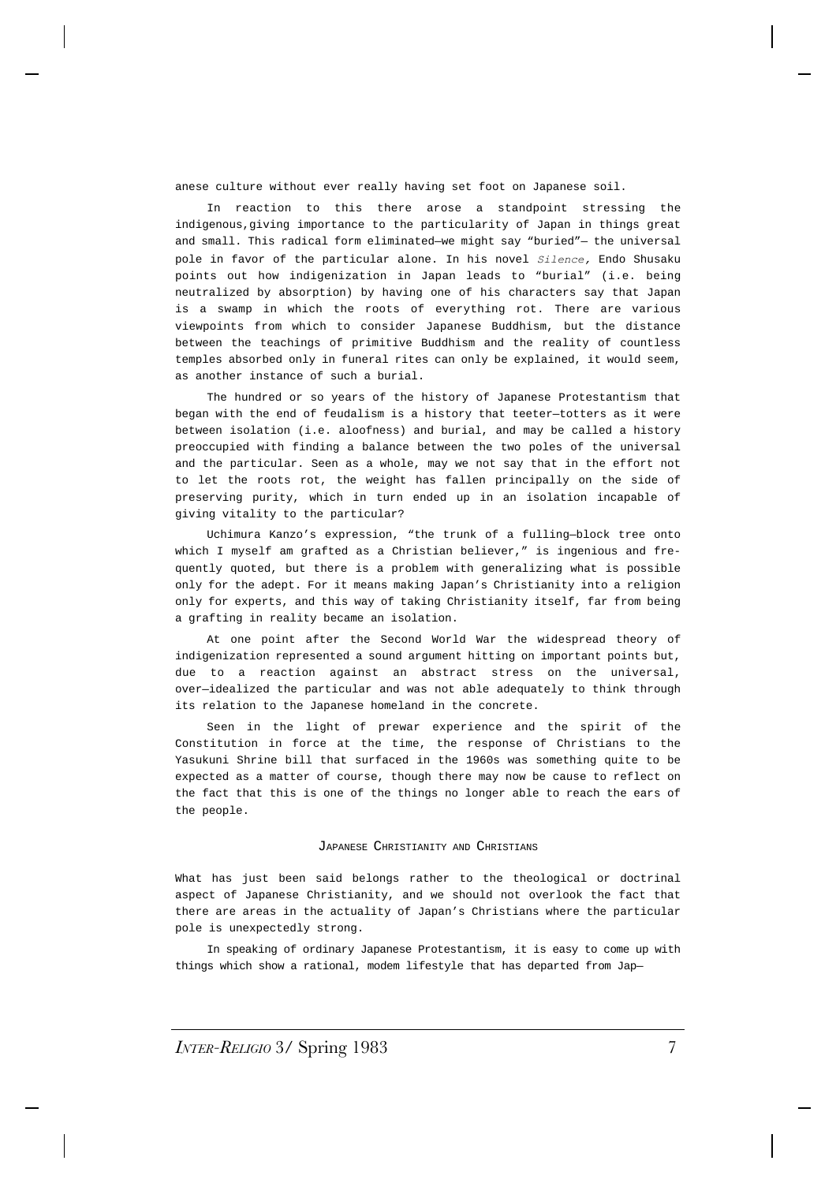anese culture without ever really having set foot on Japanese soil.

In reaction to this there arose a standpoint stressing the indigenous,giving importance to the particularity of Japan in things great and small. This radical form eliminated—we might say "buried"— the universal pole in favor of the particular alone. In his novel *Silence,* Endo Shusaku points out how indigenization in Japan leads to "burial" (i.e. being neutralized by absorption) by having one of his characters say that Japan is a swamp in which the roots of everything rot. There are various viewpoints from which to consider Japanese Buddhism, but the distance between the teachings of primitive Buddhism and the reality of countless temples absorbed only in funeral rites can only be explained, it would seem, as another instance of such a burial.

The hundred or so years of the history of Japanese Protestantism that began with the end of feudalism is a history that teeter—totters as it were between isolation (i.e. aloofness) and burial, and may be called a history preoccupied with finding a balance between the two poles of the universal and the particular. Seen as a whole, may we not say that in the effort not to let the roots rot, the weight has fallen principally on the side of preserving purity, which in turn ended up in an isolation incapable of giving vitality to the particular?

Uchimura Kanzo's expression, "the trunk of a fulling—block tree onto which I myself am grafted as a Christian believer," is ingenious and frequently quoted, but there is a problem with generalizing what is possible only for the adept. For it means making Japan's Christianity into a religion only for experts, and this way of taking Christianity itself, far from being a grafting in reality became an isolation.

At one point after the Second World War the widespread theory of indigenization represented a sound argument hitting on important points but, due to a reaction against an abstract stress on the universal, over—idealized the particular and was not able adequately to think through its relation to the Japanese homeland in the concrete.

Seen in the light of prewar experience and the spirit of the Constitution in force at the time, the response of Christians to the Yasukuni Shrine bill that surfaced in the 1960s was something quite to be expected as a matter of course, though there may now be cause to reflect on the fact that this is one of the things no longer able to reach the ears of the people.

#### JAPANESE CHRISTIANITY AND CHRISTIANS

What has just been said belongs rather to the theological or doctrinal aspect of Japanese Christianity, and we should not overlook the fact that there are areas in the actuality of Japan's Christians where the particular pole is unexpectedly strong.

In speaking of ordinary Japanese Protestantism, it is easy to come up with things which show a rational, modem lifestyle that has departed from Jap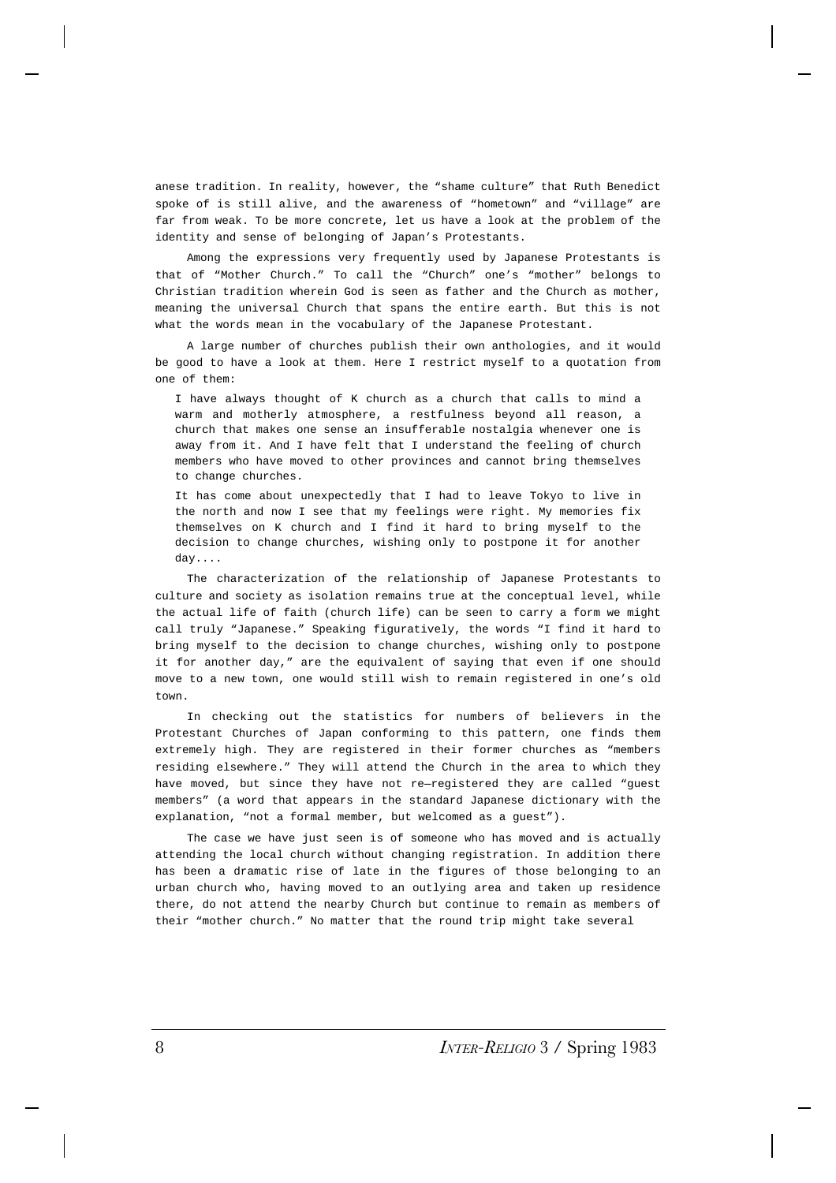anese tradition. In reality, however, the "shame culture" that Ruth Benedict spoke of is still alive, and the awareness of "hometown" and "village" are far from weak. To be more concrete, let us have a look at the problem of the identity and sense of belonging of Japan's Protestants.

Among the expressions very frequently used by Japanese Protestants is that of "Mother Church." To call the "Church" one's "mother" belongs to Christian tradition wherein God is seen as father and the Church as mother, meaning the universal Church that spans the entire earth. But this is not what the words mean in the vocabulary of the Japanese Protestant.

A large number of churches publish their own anthologies, and it would be good to have a look at them. Here I restrict myself to a quotation from one of them:

I have always thought of K church as a church that calls to mind a warm and motherly atmosphere, a restfulness beyond all reason, a church that makes one sense an insufferable nostalgia whenever one is away from it. And I have felt that I understand the feeling of church members who have moved to other provinces and cannot bring themselves to change churches.

It has come about unexpectedly that I had to leave Tokyo to live in the north and now I see that my feelings were right. My memories fix themselves on K church and I find it hard to bring myself to the decision to change churches, wishing only to postpone it for another day....

The characterization of the relationship of Japanese Protestants to culture and society as isolation remains true at the conceptual level, while the actual life of faith (church life) can be seen to carry a form we might call truly "Japanese." Speaking figuratively, the words "I find it hard to bring myself to the decision to change churches, wishing only to postpone it for another day," are the equivalent of saying that even if one should move to a new town, one would still wish to remain registered in one's old town.

In checking out the statistics for numbers of believers in the Protestant Churches of Japan conforming to this pattern, one finds them extremely high. They are registered in their former churches as "members residing elsewhere." They will attend the Church in the area to which they have moved, but since they have not re—registered they are called "guest members" (a word that appears in the standard Japanese dictionary with the explanation, "not a formal member, but welcomed as a guest").

The case we have just seen is of someone who has moved and is actually attending the local church without changing registration. In addition there has been a dramatic rise of late in the figures of those belonging to an urban church who, having moved to an outlying area and taken up residence there, do not attend the nearby Church but continue to remain as members of their "mother church." No matter that the round trip might take several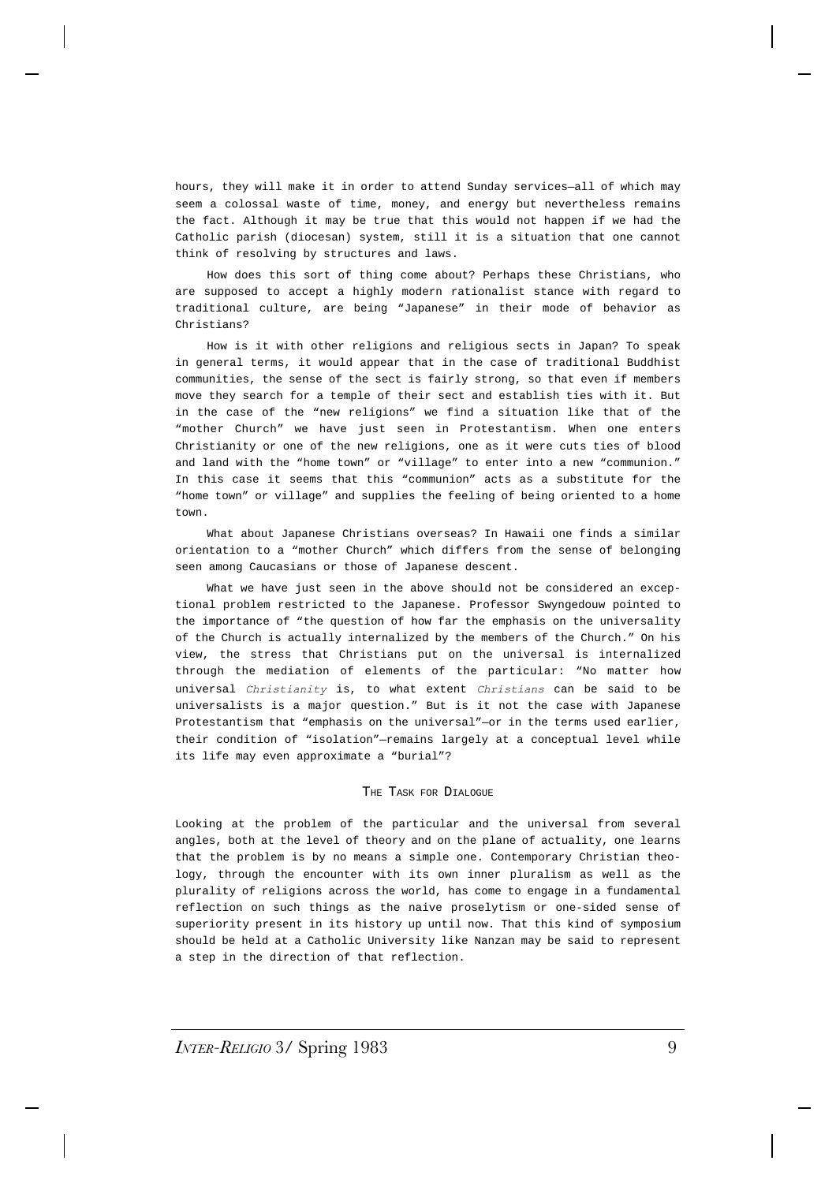hours, they will make it in order to attend Sunday services—all of which may seem a colossal waste of time, money, and energy but nevertheless remains the fact. Although it may be true that this would not happen if we had the Catholic parish (diocesan) system, still it is a situation that one cannot think of resolving by structures and laws.

How does this sort of thing come about? Perhaps these Christians, who are supposed to accept a highly modern rationalist stance with regard to traditional culture, are being "Japanese" in their mode of behavior as Christians?

How is it with other religions and religious sects in Japan? To speak in general terms, it would appear that in the case of traditional Buddhist communities, the sense of the sect is fairly strong, so that even if members move they search for a temple of their sect and establish ties with it. But in the case of the "new religions" we find a situation like that of the "mother Church" we have just seen in Protestantism. When one enters Christianity or one of the new religions, one as it were cuts ties of blood and land with the "home town" or "village" to enter into a new "communion." In this case it seems that this "communion" acts as a substitute for the "home town" or village" and supplies the feeling of being oriented to a home town.

What about Japanese Christians overseas? In Hawaii one finds a similar orientation to a "mother Church" which differs from the sense of belonging seen among Caucasians or those of Japanese descent.

What we have just seen in the above should not be considered an exceptional problem restricted to the Japanese. Professor Swyngedouw pointed to the importance of "the question of how far the emphasis on the universality of the Church is actually internalized by the members of the Church." On his view, the stress that Christians put on the universal is internalized through the mediation of elements of the particular: "No matter how universal *Christianity* is, to what extent *Christians* can be said to be universalists is a major question." But is it not the case with Japanese Protestantism that "emphasis on the universal"—or in the terms used earlier, their condition of "isolation"—remains largely at a conceptual level while its life may even approximate a "burial"?

#### THE TASK FOR DIALOGUE

Looking at the problem of the particular and the universal from several angles, both at the level of theory and on the plane of actuality, one learns that the problem is by no means a simple one. Contemporary Christian theology, through the encounter with its own inner pluralism as well as the plurality of religions across the world, has come to engage in a fundamental reflection on such things as the naive proselytism or one-sided sense of superiority present in its history up until now. That this kind of symposium should be held at a Catholic University like Nanzan may be said to represent a step in the direction of that reflection.